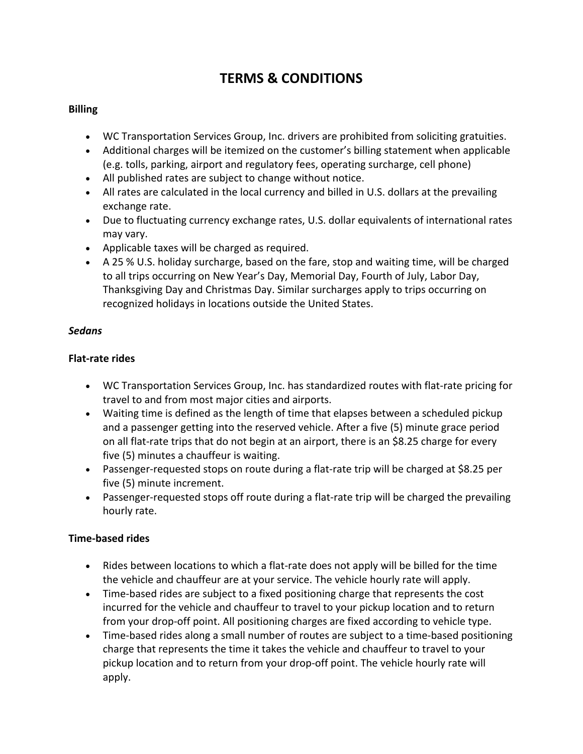# **TERMS & CONDITIONS**

### **Billing**

- WC Transportation Services Group, Inc. drivers are prohibited from soliciting gratuities.
- Additional charges will be itemized on the customer's billing statement when applicable (e.g. tolls, parking, airport and regulatory fees, operating surcharge, cell phone)
- All published rates are subject to change without notice.
- All rates are calculated in the local currency and billed in U.S. dollars at the prevailing exchange rate.
- Due to fluctuating currency exchange rates, U.S. dollar equivalents of international rates may vary.
- Applicable taxes will be charged as required.
- A 25 % U.S. holiday surcharge, based on the fare, stop and waiting time, will be charged to all trips occurring on New Year's Day, Memorial Day, Fourth of July, Labor Day, Thanksgiving Day and Christmas Day. Similar surcharges apply to trips occurring on recognized holidays in locations outside the United States.

### *Sedans*

### **Flat‐rate rides**

- WC Transportation Services Group, Inc. has standardized routes with flat-rate pricing for travel to and from most major cities and airports.
- Waiting time is defined as the length of time that elapses between a scheduled pickup and a passenger getting into the reserved vehicle. After a five (5) minute grace period on all flat-rate trips that do not begin at an airport, there is an \$8.25 charge for every five (5) minutes a chauffeur is waiting.
- Passenger-requested stops on route during a flat-rate trip will be charged at \$8.25 per five (5) minute increment.
- Passenger-requested stops off route during a flat-rate trip will be charged the prevailing hourly rate.

### **Time‐based rides**

- Rides between locations to which a flat-rate does not apply will be billed for the time the vehicle and chauffeur are at your service. The vehicle hourly rate will apply.
- Time-based rides are subject to a fixed positioning charge that represents the cost incurred for the vehicle and chauffeur to travel to your pickup location and to return from your drop-off point. All positioning charges are fixed according to vehicle type.
- Time-based rides along a small number of routes are subject to a time-based positioning charge that represents the time it takes the vehicle and chauffeur to travel to your pickup location and to return from your drop-off point. The vehicle hourly rate will apply.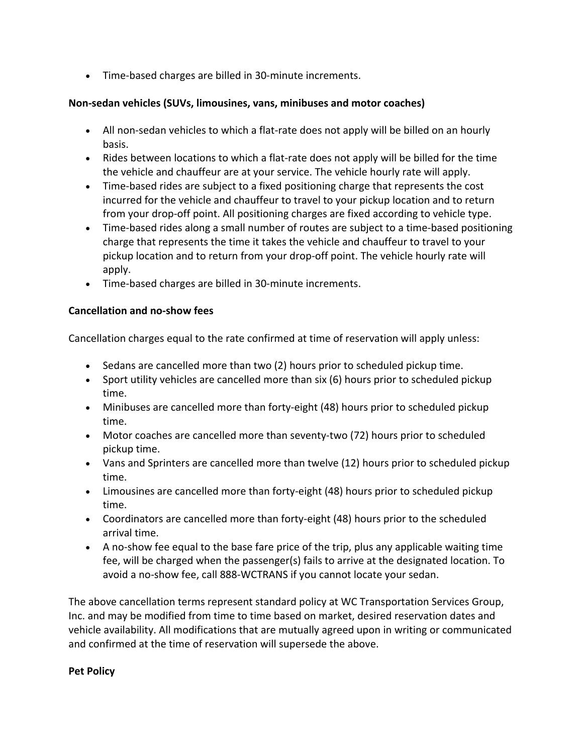■ Time-based charges are billed in 30-minute increments.

## **Non‐sedan vehicles (SUVs, limousines, vans, minibuses and motor coaches)**

- All non-sedan vehicles to which a flat-rate does not apply will be billed on an hourly basis.
- Rides between locations to which a flat-rate does not apply will be billed for the time the vehicle and chauffeur are at your service. The vehicle hourly rate will apply.
- Time‐based rides are subject to a fixed positioning charge that represents the cost incurred for the vehicle and chauffeur to travel to your pickup location and to return from your drop-off point. All positioning charges are fixed according to vehicle type.
- Time-based rides along a small number of routes are subject to a time-based positioning charge that represents the time it takes the vehicle and chauffeur to travel to your pickup location and to return from your drop‐off point. The vehicle hourly rate will apply.
- Time-based charges are billed in 30-minute increments.

## **Cancellation and no‐show fees**

Cancellation charges equal to the rate confirmed at time of reservation will apply unless:

- Sedans are cancelled more than two (2) hours prior to scheduled pickup time.
- Sport utility vehicles are cancelled more than six (6) hours prior to scheduled pickup time.
- Minibuses are cancelled more than forty-eight (48) hours prior to scheduled pickup time.
- Motor coaches are cancelled more than seventy-two (72) hours prior to scheduled pickup time.
- Vans and Sprinters are cancelled more than twelve (12) hours prior to scheduled pickup time.
- Limousines are cancelled more than forty-eight (48) hours prior to scheduled pickup time.
- Coordinators are cancelled more than forty-eight (48) hours prior to the scheduled arrival time.
- A no‐show fee equal to the base fare price of the trip, plus any applicable waiting time fee, will be charged when the passenger(s) fails to arrive at the designated location. To avoid a no‐show fee, call 888‐WCTRANS if you cannot locate your sedan.

The above cancellation terms represent standard policy at WC Transportation Services Group, Inc. and may be modified from time to time based on market, desired reservation dates and vehicle availability. All modifications that are mutually agreed upon in writing or communicated and confirmed at the time of reservation will supersede the above.

# **Pet Policy**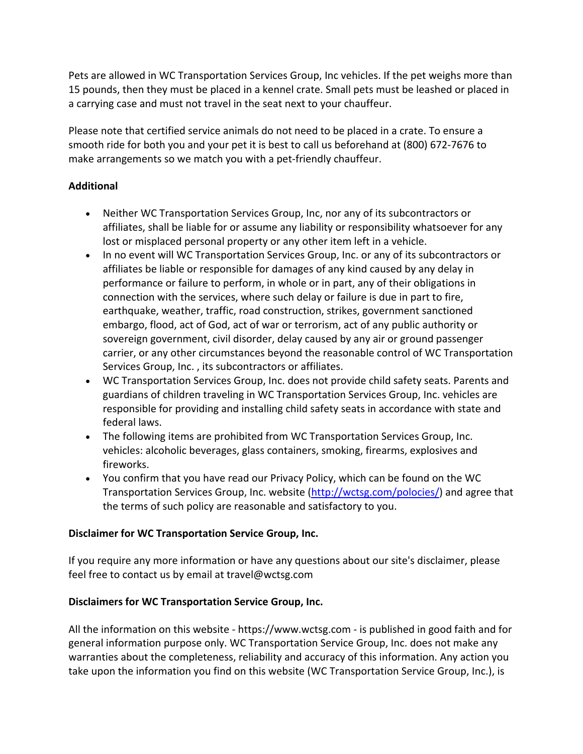Pets are allowed in WC Transportation Services Group, Inc vehicles. If the pet weighs more than 15 pounds, then they must be placed in a kennel crate. Small pets must be leashed or placed in a carrying case and must not travel in the seat next to your chauffeur.

Please note that certified service animals do not need to be placed in a crate. To ensure a smooth ride for both you and your pet it is best to call us beforehand at (800) 672‐7676 to make arrangements so we match you with a pet-friendly chauffeur.

# **Additional**

- Neither WC Transportation Services Group, Inc, nor any of its subcontractors or affiliates, shall be liable for or assume any liability or responsibility whatsoever for any lost or misplaced personal property or any other item left in a vehicle.
- In no event will WC Transportation Services Group, Inc. or any of its subcontractors or affiliates be liable or responsible for damages of any kind caused by any delay in performance or failure to perform, in whole or in part, any of their obligations in connection with the services, where such delay or failure is due in part to fire, earthquake, weather, traffic, road construction, strikes, government sanctioned embargo, flood, act of God, act of war or terrorism, act of any public authority or sovereign government, civil disorder, delay caused by any air or ground passenger carrier, or any other circumstances beyond the reasonable control of WC Transportation Services Group, Inc. , its subcontractors or affiliates.
- WC Transportation Services Group, Inc. does not provide child safety seats. Parents and guardians of children traveling in WC Transportation Services Group, Inc. vehicles are responsible for providing and installing child safety seats in accordance with state and federal laws.
- The following items are prohibited from WC Transportation Services Group, Inc. vehicles: alcoholic beverages, glass containers, smoking, firearms, explosives and fireworks.
- You confirm that you have read our Privacy Policy, which can be found on the WC Transportation Services Group, Inc. website (http://wctsg.com/polocies/) and agree that the terms of such policy are reasonable and satisfactory to you.

### **Disclaimer for WC Transportation Service Group, Inc.**

If you require any more information or have any questions about our site's disclaimer, please feel free to contact us by email at travel@wctsg.com

### **Disclaimers for WC Transportation Service Group, Inc.**

All the information on this website ‐ https://www.wctsg.com ‐ is published in good faith and for general information purpose only. WC Transportation Service Group, Inc. does not make any warranties about the completeness, reliability and accuracy of this information. Any action you take upon the information you find on this website (WC Transportation Service Group, Inc.), is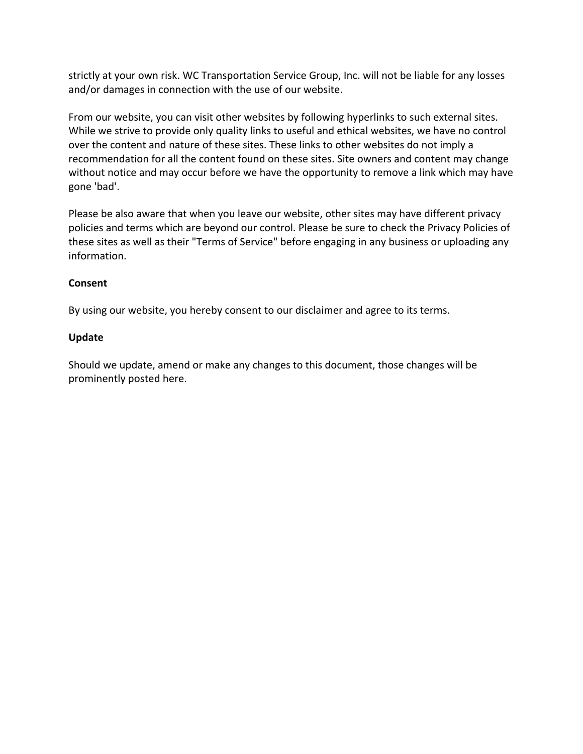strictly at your own risk. WC Transportation Service Group, Inc. will not be liable for any losses and/or damages in connection with the use of our website.

From our website, you can visit other websites by following hyperlinks to such external sites. While we strive to provide only quality links to useful and ethical websites, we have no control over the content and nature of these sites. These links to other websites do not imply a recommendation for all the content found on these sites. Site owners and content may change without notice and may occur before we have the opportunity to remove a link which may have gone 'bad'.

Please be also aware that when you leave our website, other sites may have different privacy policies and terms which are beyond our control. Please be sure to check the Privacy Policies of these sites as well as their "Terms of Service" before engaging in any business or uploading any information.

### **Consent**

By using our website, you hereby consent to our disclaimer and agree to its terms.

#### **Update**

Should we update, amend or make any changes to this document, those changes will be prominently posted here.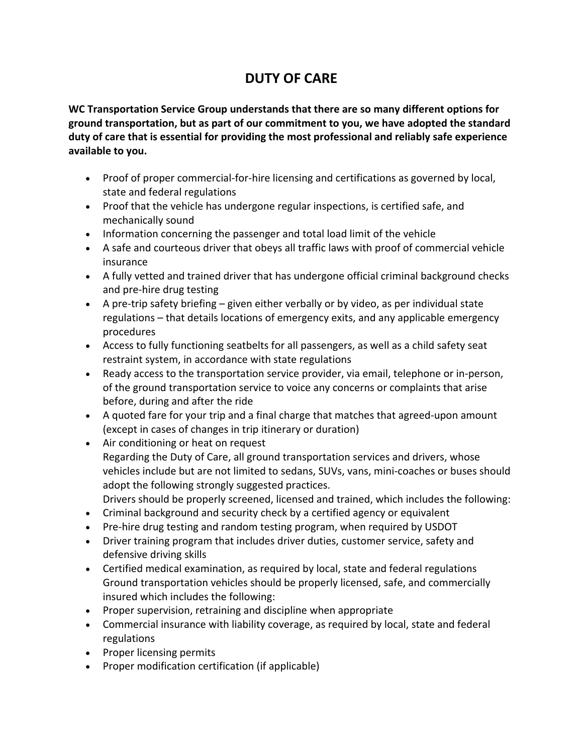# **DUTY OF CARE**

**WC Transportation Service Group understands that there are so many different options for ground transportation, but as part of our commitment to you, we have adopted the standard duty of care that is essential for providing the most professional and reliably safe experience available to you.**

- Proof of proper commercial-for-hire licensing and certifications as governed by local, state and federal regulations
- Proof that the vehicle has undergone regular inspections, is certified safe, and mechanically sound
- Information concerning the passenger and total load limit of the vehicle
- A safe and courteous driver that obeys all traffic laws with proof of commercial vehicle insurance
- A fully vetted and trained driver that has undergone official criminal background checks and pre‐hire drug testing
- A pre-trip safety briefing given either verbally or by video, as per individual state regulations – that details locations of emergency exits, and any applicable emergency procedures
- Access to fully functioning seatbelts for all passengers, as well as a child safety seat restraint system, in accordance with state regulations
- Ready access to the transportation service provider, via email, telephone or in-person, of the ground transportation service to voice any concerns or complaints that arise before, during and after the ride
- A quoted fare for your trip and a final charge that matches that agreed-upon amount (except in cases of changes in trip itinerary or duration)
- Air conditioning or heat on request Regarding the Duty of Care, all ground transportation services and drivers, whose vehicles include but are not limited to sedans, SUVs, vans, mini‐coaches or buses should adopt the following strongly suggested practices. Drivers should be properly screened, licensed and trained, which includes the following:
- Criminal background and security check by a certified agency or equivalent
- Pre-hire drug testing and random testing program, when required by USDOT
- Driver training program that includes driver duties, customer service, safety and defensive driving skills
- Certified medical examination, as required by local, state and federal regulations Ground transportation vehicles should be properly licensed, safe, and commercially insured which includes the following:
- Proper supervision, retraining and discipline when appropriate
- Commercial insurance with liability coverage, as required by local, state and federal regulations
- Proper licensing permits
- Proper modification certification (if applicable)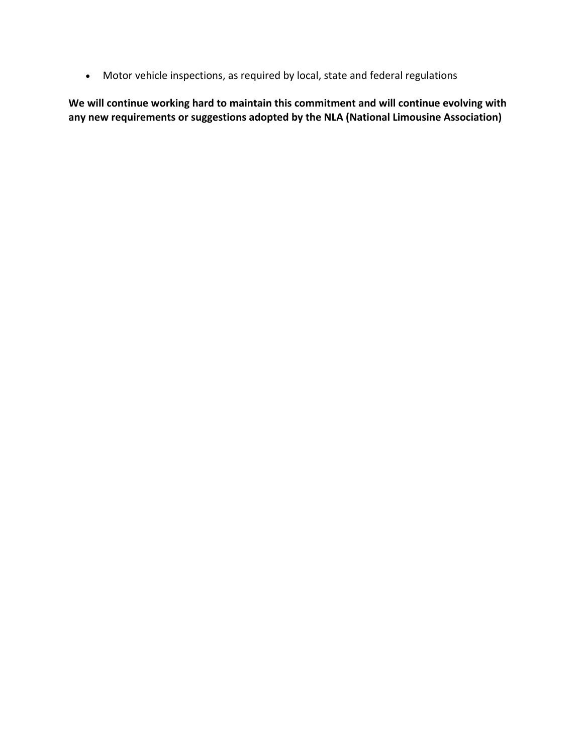Motor vehicle inspections, as required by local, state and federal regulations

**We will continue working hard to maintain this commitment and will continue evolving with any new requirements or suggestions adopted by the NLA (National Limousine Association)**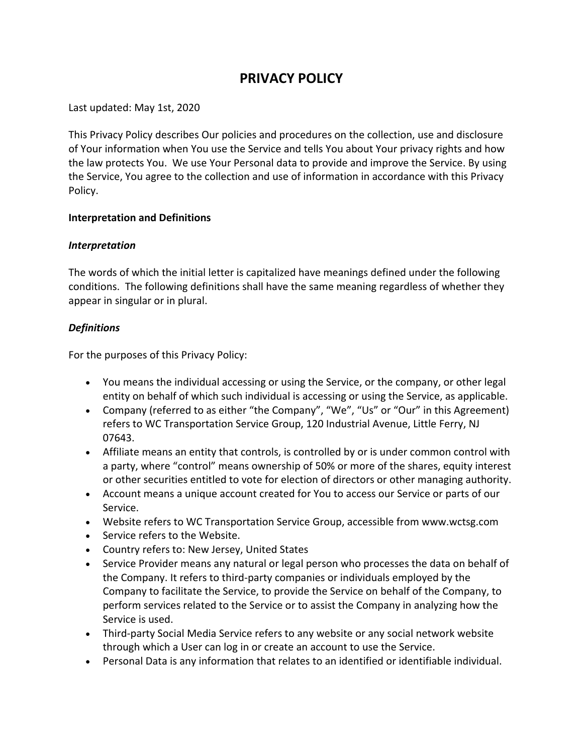# **PRIVACY POLICY**

#### Last updated: May 1st, 2020

This Privacy Policy describes Our policies and procedures on the collection, use and disclosure of Your information when You use the Service and tells You about Your privacy rights and how the law protects You. We use Your Personal data to provide and improve the Service. By using the Service, You agree to the collection and use of information in accordance with this Privacy Policy.

#### **Interpretation and Definitions**

#### *Interpretation*

The words of which the initial letter is capitalized have meanings defined under the following conditions. The following definitions shall have the same meaning regardless of whether they appear in singular or in plural.

#### *Definitions*

For the purposes of this Privacy Policy:

- You means the individual accessing or using the Service, or the company, or other legal entity on behalf of which such individual is accessing or using the Service, as applicable.
- Company (referred to as either "the Company", "We", "Us" or "Our" in this Agreement) refers to WC Transportation Service Group, 120 Industrial Avenue, Little Ferry, NJ 07643.
- Affiliate means an entity that controls, is controlled by or is under common control with a party, where "control" means ownership of 50% or more of the shares, equity interest or other securities entitled to vote for election of directors or other managing authority.
- Account means a unique account created for You to access our Service or parts of our Service.
- Website refers to WC Transportation Service Group, accessible from www.wctsg.com
- Service refers to the Website.
- Country refers to: New Jersey, United States
- Service Provider means any natural or legal person who processes the data on behalf of the Company. It refers to third‐party companies or individuals employed by the Company to facilitate the Service, to provide the Service on behalf of the Company, to perform services related to the Service or to assist the Company in analyzing how the Service is used.
- Third-party Social Media Service refers to any website or any social network website through which a User can log in or create an account to use the Service.
- Personal Data is any information that relates to an identified or identifiable individual.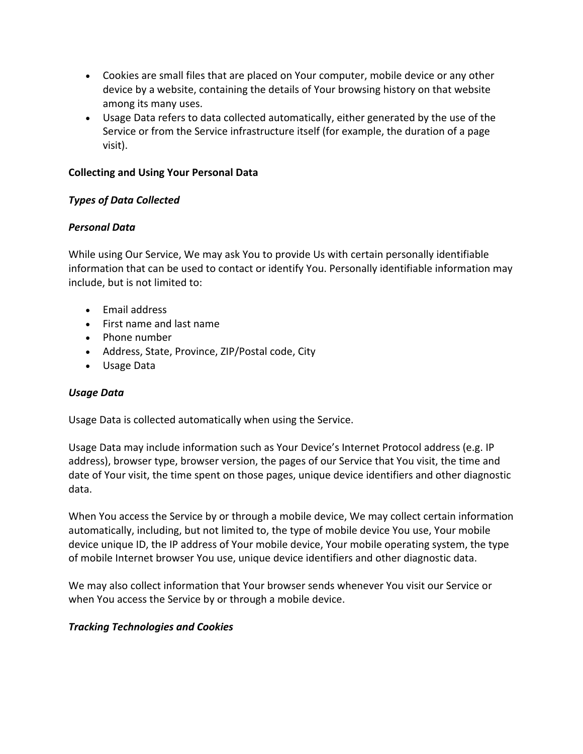- Cookies are small files that are placed on Your computer, mobile device or any other device by a website, containing the details of Your browsing history on that website among its many uses.
- Usage Data refers to data collected automatically, either generated by the use of the Service or from the Service infrastructure itself (for example, the duration of a page visit).

#### **Collecting and Using Your Personal Data**

#### *Types of Data Collected*

#### *Personal Data*

While using Our Service, We may ask You to provide Us with certain personally identifiable information that can be used to contact or identify You. Personally identifiable information may include, but is not limited to:

- Email address
- First name and last name
- Phone number
- Address, State, Province, ZIP/Postal code, City
- Usage Data

#### *Usage Data*

Usage Data is collected automatically when using the Service.

Usage Data may include information such as Your Device's Internet Protocol address (e.g. IP address), browser type, browser version, the pages of our Service that You visit, the time and date of Your visit, the time spent on those pages, unique device identifiers and other diagnostic data.

When You access the Service by or through a mobile device, We may collect certain information automatically, including, but not limited to, the type of mobile device You use, Your mobile device unique ID, the IP address of Your mobile device, Your mobile operating system, the type of mobile Internet browser You use, unique device identifiers and other diagnostic data.

We may also collect information that Your browser sends whenever You visit our Service or when You access the Service by or through a mobile device.

#### *Tracking Technologies and Cookies*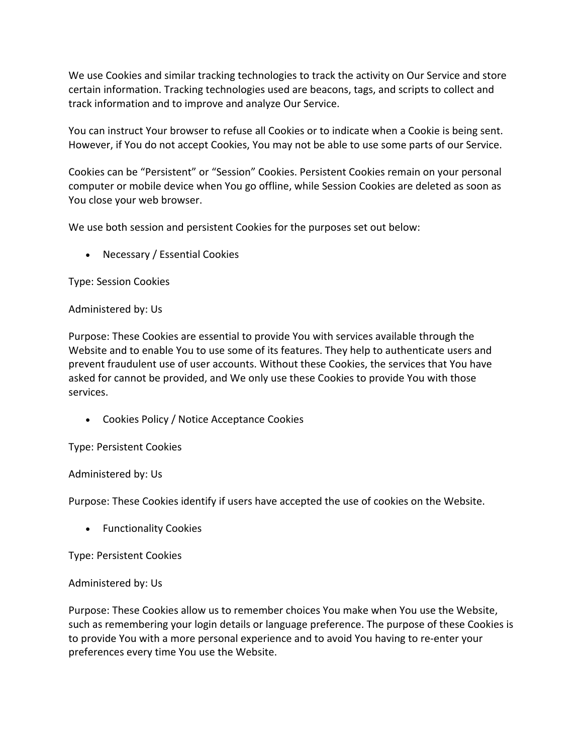We use Cookies and similar tracking technologies to track the activity on Our Service and store certain information. Tracking technologies used are beacons, tags, and scripts to collect and track information and to improve and analyze Our Service.

You can instruct Your browser to refuse all Cookies or to indicate when a Cookie is being sent. However, if You do not accept Cookies, You may not be able to use some parts of our Service.

Cookies can be "Persistent" or "Session" Cookies. Persistent Cookies remain on your personal computer or mobile device when You go offline, while Session Cookies are deleted as soon as You close your web browser.

We use both session and persistent Cookies for the purposes set out below:

• Necessary / Essential Cookies

Type: Session Cookies

Administered by: Us

Purpose: These Cookies are essential to provide You with services available through the Website and to enable You to use some of its features. They help to authenticate users and prevent fraudulent use of user accounts. Without these Cookies, the services that You have asked for cannot be provided, and We only use these Cookies to provide You with those services.

• Cookies Policy / Notice Acceptance Cookies

Type: Persistent Cookies

Administered by: Us

Purpose: These Cookies identify if users have accepted the use of cookies on the Website.

**•** Functionality Cookies

Type: Persistent Cookies

#### Administered by: Us

Purpose: These Cookies allow us to remember choices You make when You use the Website, such as remembering your login details or language preference. The purpose of these Cookies is to provide You with a more personal experience and to avoid You having to re‐enter your preferences every time You use the Website.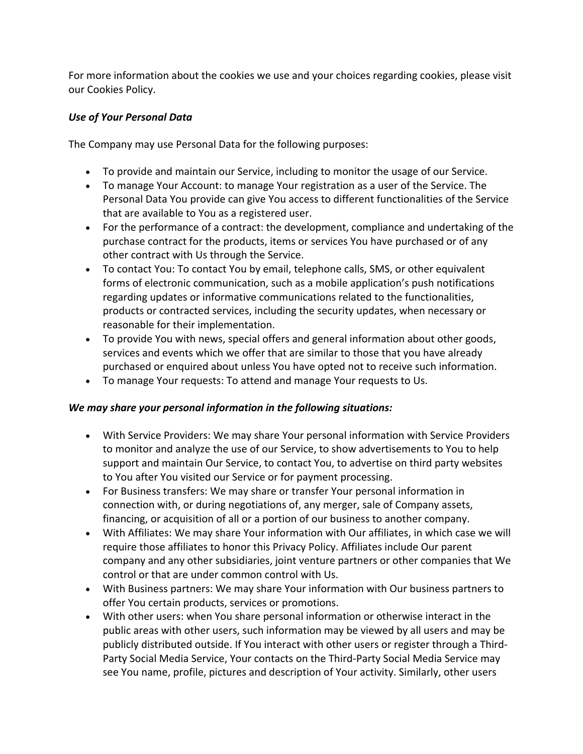For more information about the cookies we use and your choices regarding cookies, please visit our Cookies Policy.

## *Use of Your Personal Data*

The Company may use Personal Data for the following purposes:

- To provide and maintain our Service, including to monitor the usage of our Service.
- To manage Your Account: to manage Your registration as a user of the Service. The Personal Data You provide can give You access to different functionalities of the Service that are available to You as a registered user.
- For the performance of a contract: the development, compliance and undertaking of the purchase contract for the products, items or services You have purchased or of any other contract with Us through the Service.
- To contact You: To contact You by email, telephone calls, SMS, or other equivalent forms of electronic communication, such as a mobile application's push notifications regarding updates or informative communications related to the functionalities, products or contracted services, including the security updates, when necessary or reasonable for their implementation.
- To provide You with news, special offers and general information about other goods, services and events which we offer that are similar to those that you have already purchased or enquired about unless You have opted not to receive such information.
- To manage Your requests: To attend and manage Your requests to Us.

### *We may share your personal information in the following situations:*

- With Service Providers: We may share Your personal information with Service Providers to monitor and analyze the use of our Service, to show advertisements to You to help support and maintain Our Service, to contact You, to advertise on third party websites to You after You visited our Service or for payment processing.
- For Business transfers: We may share or transfer Your personal information in connection with, or during negotiations of, any merger, sale of Company assets, financing, or acquisition of all or a portion of our business to another company.
- With Affiliates: We may share Your information with Our affiliates, in which case we will require those affiliates to honor this Privacy Policy. Affiliates include Our parent company and any other subsidiaries, joint venture partners or other companies that We control or that are under common control with Us.
- With Business partners: We may share Your information with Our business partners to offer You certain products, services or promotions.
- With other users: when You share personal information or otherwise interact in the public areas with other users, such information may be viewed by all users and may be publicly distributed outside. If You interact with other users or register through a Third‐ Party Social Media Service, Your contacts on the Third‐Party Social Media Service may see You name, profile, pictures and description of Your activity. Similarly, other users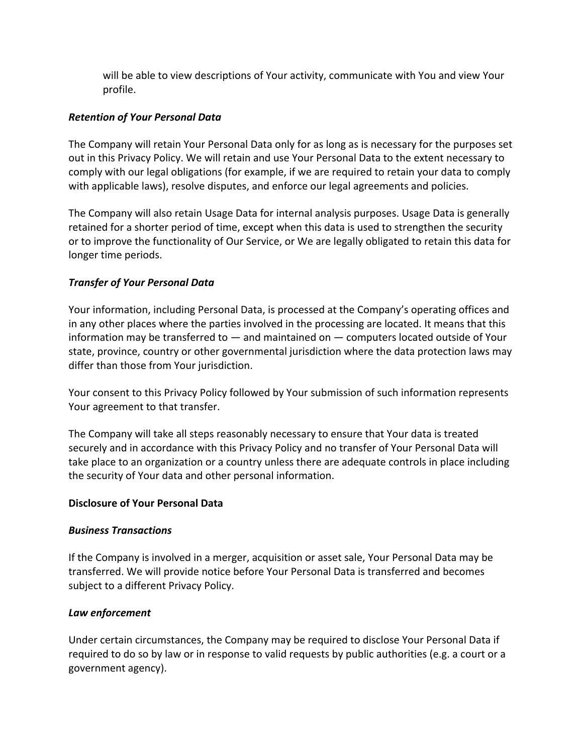will be able to view descriptions of Your activity, communicate with You and view Your profile.

#### *Retention of Your Personal Data*

The Company will retain Your Personal Data only for as long as is necessary for the purposes set out in this Privacy Policy. We will retain and use Your Personal Data to the extent necessary to comply with our legal obligations (for example, if we are required to retain your data to comply with applicable laws), resolve disputes, and enforce our legal agreements and policies.

The Company will also retain Usage Data for internal analysis purposes. Usage Data is generally retained for a shorter period of time, except when this data is used to strengthen the security or to improve the functionality of Our Service, or We are legally obligated to retain this data for longer time periods.

### *Transfer of Your Personal Data*

Your information, including Personal Data, is processed at the Company's operating offices and in any other places where the parties involved in the processing are located. It means that this information may be transferred to — and maintained on — computers located outside of Your state, province, country or other governmental jurisdiction where the data protection laws may differ than those from Your jurisdiction.

Your consent to this Privacy Policy followed by Your submission of such information represents Your agreement to that transfer.

The Company will take all steps reasonably necessary to ensure that Your data is treated securely and in accordance with this Privacy Policy and no transfer of Your Personal Data will take place to an organization or a country unless there are adequate controls in place including the security of Your data and other personal information.

#### **Disclosure of Your Personal Data**

#### *Business Transactions*

If the Company is involved in a merger, acquisition or asset sale, Your Personal Data may be transferred. We will provide notice before Your Personal Data is transferred and becomes subject to a different Privacy Policy.

#### *Law enforcement*

Under certain circumstances, the Company may be required to disclose Your Personal Data if required to do so by law or in response to valid requests by public authorities (e.g. a court or a government agency).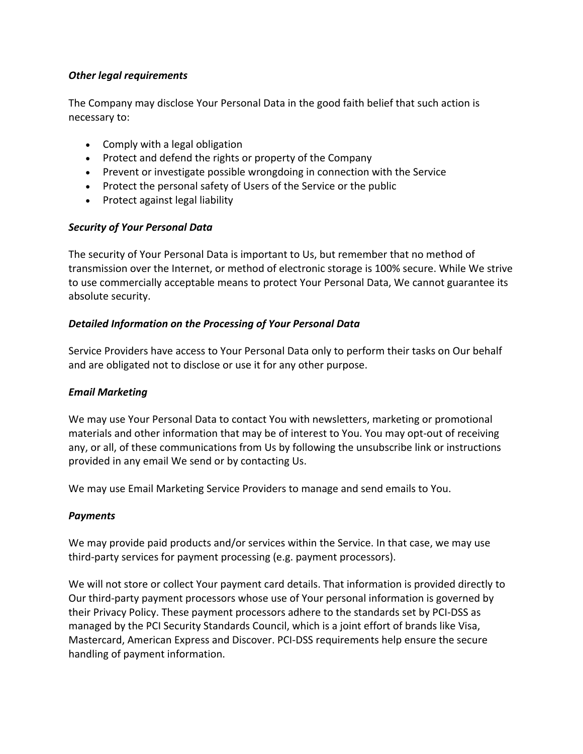#### *Other legal requirements*

The Company may disclose Your Personal Data in the good faith belief that such action is necessary to:

- Comply with a legal obligation
- Protect and defend the rights or property of the Company
- Prevent or investigate possible wrongdoing in connection with the Service
- Protect the personal safety of Users of the Service or the public
- Protect against legal liability

### *Security of Your Personal Data*

The security of Your Personal Data is important to Us, but remember that no method of transmission over the Internet, or method of electronic storage is 100% secure. While We strive to use commercially acceptable means to protect Your Personal Data, We cannot guarantee its absolute security.

#### *Detailed Information on the Processing of Your Personal Data*

Service Providers have access to Your Personal Data only to perform their tasks on Our behalf and are obligated not to disclose or use it for any other purpose.

### *Email Marketing*

We may use Your Personal Data to contact You with newsletters, marketing or promotional materials and other information that may be of interest to You. You may opt-out of receiving any, or all, of these communications from Us by following the unsubscribe link or instructions provided in any email We send or by contacting Us.

We may use Email Marketing Service Providers to manage and send emails to You.

### *Payments*

We may provide paid products and/or services within the Service. In that case, we may use third‐party services for payment processing (e.g. payment processors).

We will not store or collect Your payment card details. That information is provided directly to Our third‐party payment processors whose use of Your personal information is governed by their Privacy Policy. These payment processors adhere to the standards set by PCI‐DSS as managed by the PCI Security Standards Council, which is a joint effort of brands like Visa, Mastercard, American Express and Discover. PCI‐DSS requirements help ensure the secure handling of payment information.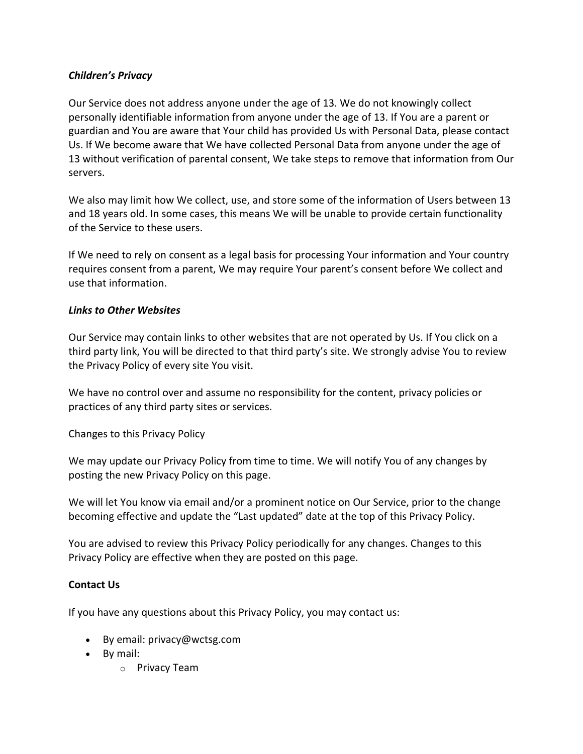#### *Children's Privacy*

Our Service does not address anyone under the age of 13. We do not knowingly collect personally identifiable information from anyone under the age of 13. If You are a parent or guardian and You are aware that Your child has provided Us with Personal Data, please contact Us. If We become aware that We have collected Personal Data from anyone under the age of 13 without verification of parental consent, We take steps to remove that information from Our servers.

We also may limit how We collect, use, and store some of the information of Users between 13 and 18 years old. In some cases, this means We will be unable to provide certain functionality of the Service to these users.

If We need to rely on consent as a legal basis for processing Your information and Your country requires consent from a parent, We may require Your parent's consent before We collect and use that information.

#### *Links to Other Websites*

Our Service may contain links to other websites that are not operated by Us. If You click on a third party link, You will be directed to that third party's site. We strongly advise You to review the Privacy Policy of every site You visit.

We have no control over and assume no responsibility for the content, privacy policies or practices of any third party sites or services.

#### Changes to this Privacy Policy

We may update our Privacy Policy from time to time. We will notify You of any changes by posting the new Privacy Policy on this page.

We will let You know via email and/or a prominent notice on Our Service, prior to the change becoming effective and update the "Last updated" date at the top of this Privacy Policy.

You are advised to review this Privacy Policy periodically for any changes. Changes to this Privacy Policy are effective when they are posted on this page.

#### **Contact Us**

If you have any questions about this Privacy Policy, you may contact us:

- By email: privacy@wctsg.com
- By mail:
	- o Privacy Team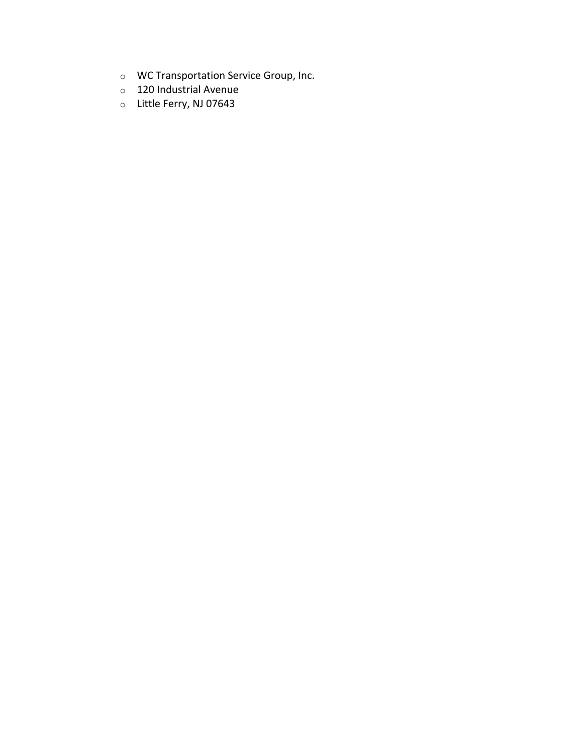- o WC Transportation Service Group, Inc.
- o 120 Industrial Avenue
- o Little Ferry, NJ 07643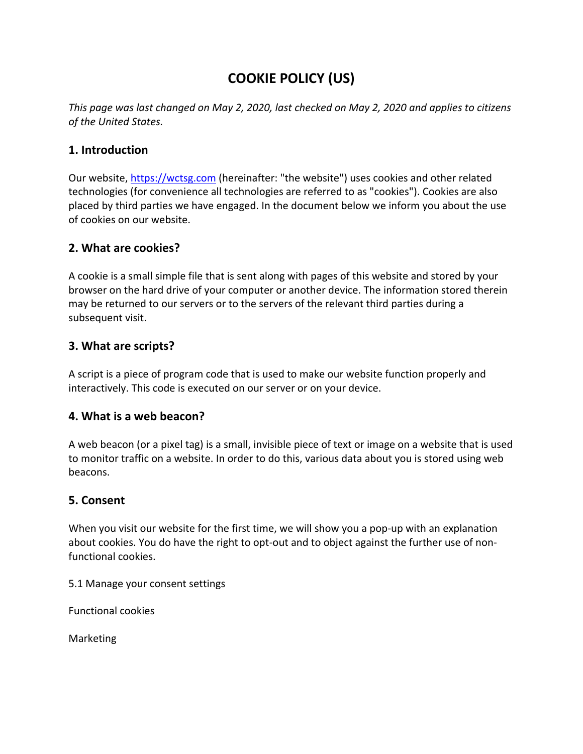# **COOKIE POLICY (US)**

This page was last changed on May 2, 2020, last checked on May 2, 2020 and applies to citizens *of the United States.*

# **1. Introduction**

Our website, https://wctsg.com (hereinafter: "the website") uses cookies and other related technologies (for convenience all technologies are referred to as "cookies"). Cookies are also placed by third parties we have engaged. In the document below we inform you about the use of cookies on our website.

## **2. What are cookies?**

A cookie is a small simple file that is sent along with pages of this website and stored by your browser on the hard drive of your computer or another device. The information stored therein may be returned to our servers or to the servers of the relevant third parties during a subsequent visit.

# **3. What are scripts?**

A script is a piece of program code that is used to make our website function properly and interactively. This code is executed on our server or on your device.

### **4. What is a web beacon?**

A web beacon (or a pixel tag) is a small, invisible piece of text or image on a website that is used to monitor traffic on a website. In order to do this, various data about you is stored using web beacons.

# **5. Consent**

When you visit our website for the first time, we will show you a pop-up with an explanation about cookies. You do have the right to opt‐out and to object against the further use of non‐ functional cookies.

5.1 Manage your consent settings

Functional cookies

Marketing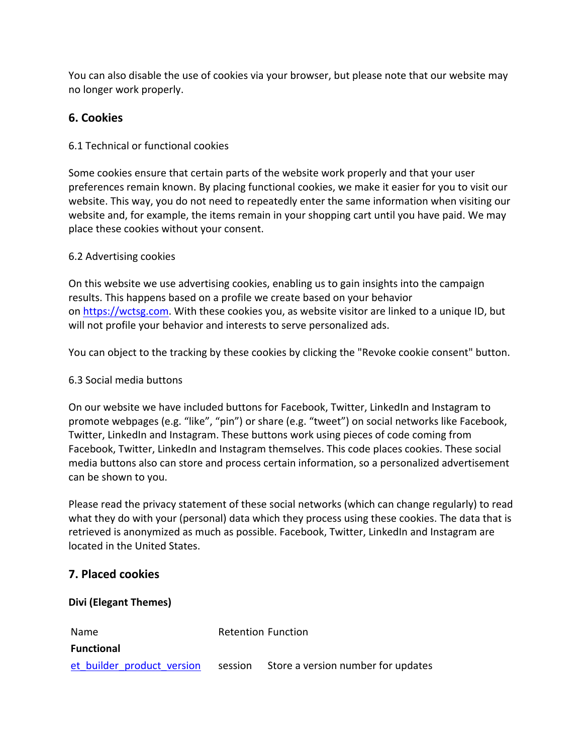You can also disable the use of cookies via your browser, but please note that our website may no longer work properly.

# **6. Cookies**

## 6.1 Technical or functional cookies

Some cookies ensure that certain parts of the website work properly and that your user preferences remain known. By placing functional cookies, we make it easier for you to visit our website. This way, you do not need to repeatedly enter the same information when visiting our website and, for example, the items remain in your shopping cart until you have paid. We may place these cookies without your consent.

## 6.2 Advertising cookies

On this website we use advertising cookies, enabling us to gain insights into the campaign results. This happens based on a profile we create based on your behavior on https://wctsg.com. With these cookies you, as website visitor are linked to a unique ID, but will not profile your behavior and interests to serve personalized ads.

You can object to the tracking by these cookies by clicking the "Revoke cookie consent" button.

## 6.3 Social media buttons

On our website we have included buttons for Facebook, Twitter, LinkedIn and Instagram to promote webpages (e.g. "like", "pin") or share (e.g. "tweet") on social networks like Facebook, Twitter, LinkedIn and Instagram. These buttons work using pieces of code coming from Facebook, Twitter, LinkedIn and Instagram themselves. This code places cookies. These social media buttons also can store and process certain information, so a personalized advertisement can be shown to you.

Please read the privacy statement of these social networks (which can change regularly) to read what they do with your (personal) data which they process using these cookies. The data that is retrieved is anonymized as much as possible. Facebook, Twitter, LinkedIn and Instagram are located in the United States.

# **7. Placed cookies**

| Divi (Elegant Themes)      |         |                                    |
|----------------------------|---------|------------------------------------|
| Name                       |         | <b>Retention Function</b>          |
| <b>Functional</b>          |         |                                    |
| et builder product version | session | Store a version number for updates |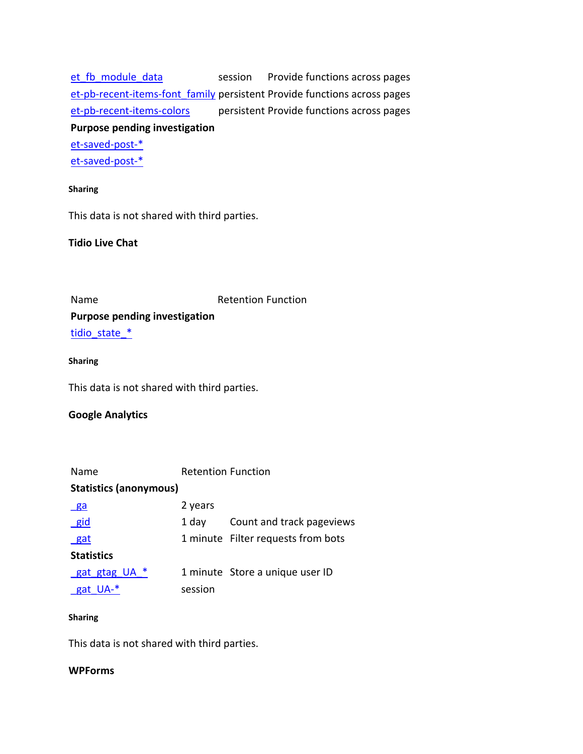et fb\_module\_data session Provide functions across pages et-pb-recent-items-font family persistent Provide functions across pages et-pb-recent-items-colors persistent Provide functions across pages **Purpose pending investigation** et‐saved‐post‐\* et‐saved‐post‐\*

#### **Sharing**

This data is not shared with third parties.

**Tidio Live Chat**

Name Retention Function **Purpose pending investigation** tidio state \*

#### **Sharing**

This data is not shared with third parties.

#### **Google Analytics**

| Name                          | <b>Retention Function</b> |                                    |
|-------------------------------|---------------------------|------------------------------------|
| <b>Statistics (anonymous)</b> |                           |                                    |
| <u>ga</u>                     | 2 years                   |                                    |
| gid                           | 1 day                     | Count and track pageviews          |
| gat                           |                           | 1 minute Filter requests from bots |
| <b>Statistics</b>             |                           |                                    |
| gat gtag UA *                 |                           | 1 minute Store a unique user ID    |
| gat $UA-*$                    | session                   |                                    |

#### **Sharing**

This data is not shared with third parties.

#### **WPForms**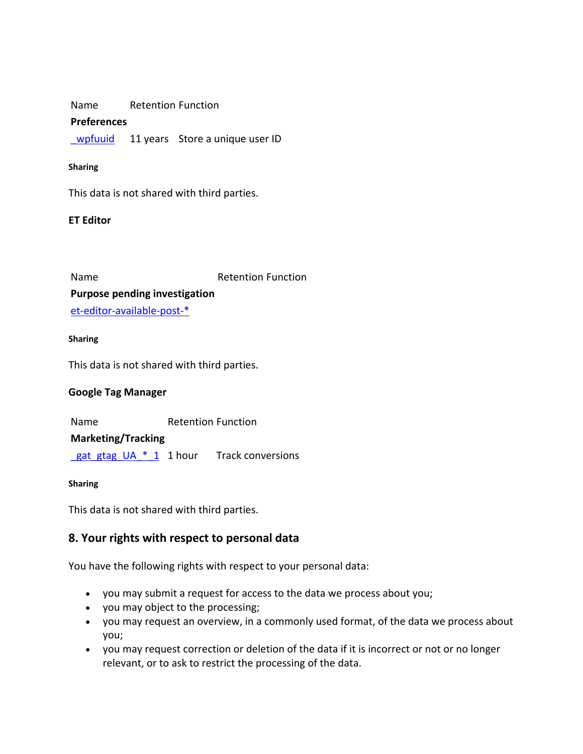Name Retention Function

#### **Preferences**

wpfuuid 11 years Store a unique user ID

#### **Sharing**

This data is not shared with third parties.

**ET Editor**

Name Retention Function **Purpose pending investigation**

et‐editor‐available‐post‐\*

#### **Sharing**

This data is not shared with third parties.

### **Google Tag Manager**

Name Retention Function **Marketing/Tracking** gat gtag  $UA * 1$  1 hour Track conversions

#### **Sharing**

This data is not shared with third parties.

# **8. Your rights with respect to personal data**

You have the following rights with respect to your personal data:

- you may submit a request for access to the data we process about you;
- you may object to the processing;
- you may request an overview, in a commonly used format, of the data we process about you;
- you may request correction or deletion of the data if it is incorrect or not or no longer relevant, or to ask to restrict the processing of the data.